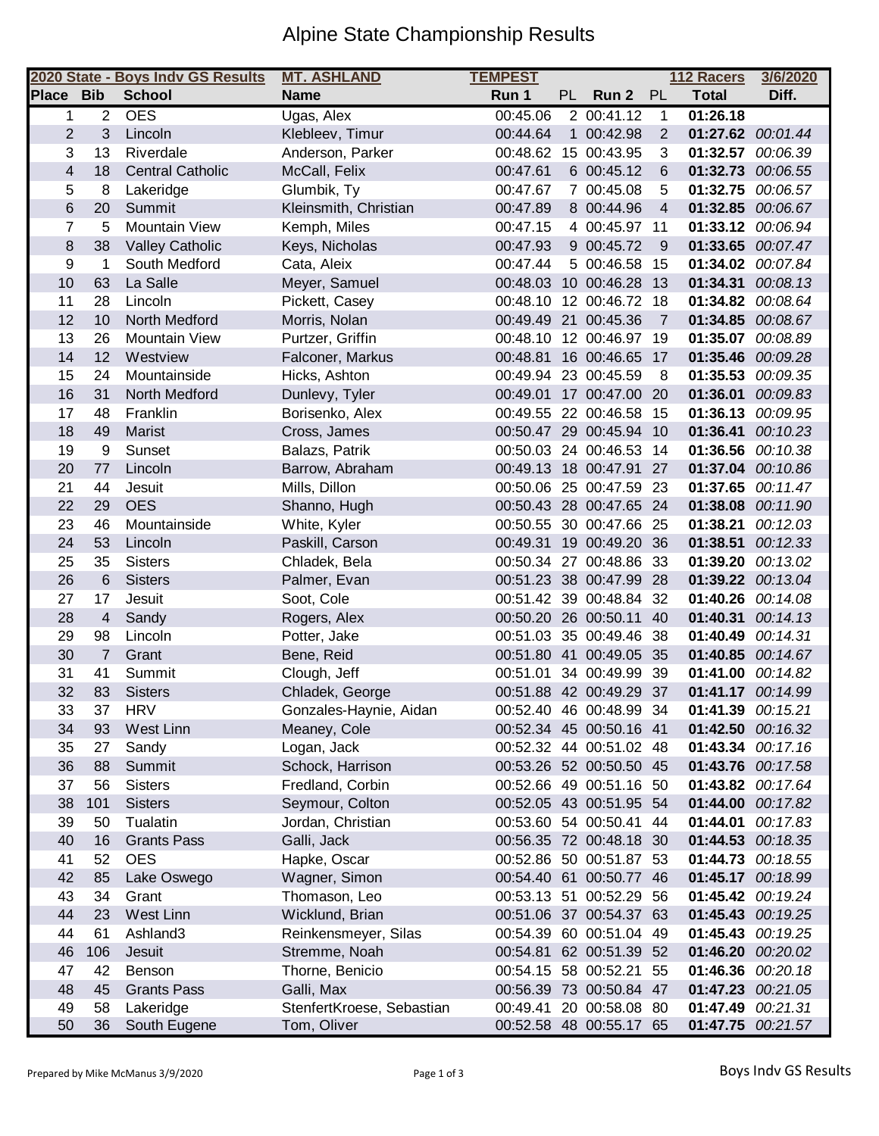## Alpine State Championship Results

|                         |                | 2020 State - Boys Indv GS Results | <b>MT. ASHLAND</b>        | <b>TEMPEST</b> |           |                         |              | 112 Racers        | 3/6/2020 |
|-------------------------|----------------|-----------------------------------|---------------------------|----------------|-----------|-------------------------|--------------|-------------------|----------|
| Place Bib               |                | <b>School</b>                     | <b>Name</b>               | Run 1          | <b>PL</b> | Run 2                   | PL           | <b>Total</b>      | Diff.    |
| 1                       | $\overline{2}$ | <b>OES</b>                        | Ugas, Alex                | 00:45.06       |           | 200:41.12               | $\mathbf{1}$ | 01:26.18          |          |
| $\overline{2}$          | 3              | Lincoln                           | Klebleev, Timur           | 00:44.64       |           | 1 00:42.98              | 2            | 01:27.62 00:01.44 |          |
| 3                       | 13             | Riverdale                         | Anderson, Parker          | 00:48.62       |           | 15 00:43.95             | 3            | 01:32.57 00:06.39 |          |
| $\overline{\mathbf{4}}$ | 18             | <b>Central Catholic</b>           | McCall, Felix             | 00:47.61       |           | 6 00:45.12              | 6            | 01:32.73          | 00:06.55 |
| 5                       | 8              | Lakeridge                         | Glumbik, Ty               | 00:47.67       |           | 7 00:45.08              | 5            | 01:32.75          | 00:06.57 |
| 6                       | 20             | Summit                            | Kleinsmith, Christian     | 00:47.89       |           | 8 00:44.96              | 4            | 01:32.85          | 00:06.67 |
| $\overline{7}$          | 5              | <b>Mountain View</b>              | Kemph, Miles              | 00:47.15       |           | 4 00:45.97 11           |              | 01:33.12 00:06.94 |          |
| 8                       | 38             | <b>Valley Catholic</b>            | Keys, Nicholas            | 00:47.93       |           | 9 00:45.72              | 9            | 01:33.65 00:07.47 |          |
| 9                       | 1              | South Medford                     | Cata, Aleix               | 00:47.44       |           | 5 00:46.58              | 15           | 01:34.02 00:07.84 |          |
| 10                      | 63             | La Salle                          | Meyer, Samuel             |                |           | 00:48.03 10 00:46.28    | 13           | 01:34.31          | 00:08.13 |
| 11                      | 28             | Lincoln                           | Pickett, Casey            | 00:48.10       |           | 12 00:46.72 18          |              | 01:34.82          | 00:08.64 |
| 12                      | 10             | North Medford                     | Morris, Nolan             |                |           | 00:49.49 21 00:45.36    | 7            | 01:34.85          | 00:08.67 |
| 13                      | 26             | <b>Mountain View</b>              | Purtzer, Griffin          |                |           | 00:48.10 12 00:46.97 19 |              | 01:35.07 00:08.89 |          |
| 14                      | 12             | Westview                          | Falconer, Markus          | 00:48.81       |           | 16 00:46.65             | 17           | 01:35.46 00:09.28 |          |
| 15                      | 24             | Mountainside                      | Hicks, Ashton             |                |           | 00:49.94 23 00:45.59    | 8            | 01:35.53 00:09.35 |          |
| 16                      | 31             | North Medford                     | Dunlevy, Tyler            |                |           | 00:49.01 17 00:47.00 20 |              | 01:36.01          | 00:09.83 |
| 17                      | 48             | Franklin                          | Borisenko, Alex           |                |           | 00:49.55 22 00:46.58    | -15          | 01:36.13          | 00:09.95 |
| 18                      | 49             | Marist                            | Cross, James              |                |           | 00:50.47 29 00:45.94 10 |              | 01:36.41          | 00:10.23 |
| 19                      | 9              | Sunset                            | Balazs, Patrik            |                |           | 00:50.03 24 00:46.53    | 14           | 01:36.56          | 00:10.38 |
| 20                      | 77             | Lincoln                           | Barrow, Abraham           |                |           | 00:49.13 18 00:47.91    | 27           | 01:37.04          | 00:10.86 |
| 21                      | 44             | Jesuit                            | Mills, Dillon             |                |           | 00:50.06 25 00:47.59 23 |              | 01:37.65 00:11.47 |          |
| 22                      | 29             | <b>OES</b>                        | Shanno, Hugh              |                |           | 00:50.43 28 00:47.65 24 |              | 01:38.08 00:11.90 |          |
| 23                      | 46             | Mountainside                      | White, Kyler              |                |           | 00:50.55 30 00:47.66 25 |              | 01:38.21          | 00:12.03 |
| 24                      | 53             | Lincoln                           | Paskill, Carson           | 00:49.31       |           | 19 00:49.20 36          |              | 01:38.51          | 00:12.33 |
| 25                      | 35             | <b>Sisters</b>                    | Chladek, Bela             |                |           | 00:50.34 27 00:48.86 33 |              | 01:39.20          | 00:13.02 |
| 26                      | 6              | <b>Sisters</b>                    | Palmer, Evan              |                |           | 00:51.23 38 00:47.99 28 |              | 01:39.22          | 00:13.04 |
| 27                      | 17             | Jesuit                            | Soot, Cole                |                |           | 00:51.42 39 00:48.84    | -32          | 01:40.26 00:14.08 |          |
| 28                      | $\overline{4}$ | Sandy                             | Rogers, Alex              |                |           | 00:50.20 26 00:50.11    | 40           | 01:40.31          | 00:14.13 |
| 29                      | 98             | Lincoln                           | Potter, Jake              |                |           | 00:51.03 35 00:49.46 38 |              | 01:40.49          | 00:14.31 |
| 30                      | $\overline{7}$ | Grant                             | Bene, Reid                |                |           | 00:51.80 41 00:49.05 35 |              | 01:40.85          | 00:14.67 |
| 31                      | 41             | Summit                            | Clough, Jeff              | 00:51.01       |           | 34 00:49.99             | 39           | 01:41.00          | 00:14.82 |
| 32                      | 83             | <b>Sisters</b>                    | Chladek, George           |                |           | 00:51.88 42 00:49.29 37 |              | 01:41.17 00:14.99 |          |
| 33                      | 37             | <b>HRV</b>                        | Gonzales-Haynie, Aidan    |                |           | 00:52.40 46 00:48.99 34 |              | 01:41.39 00:15.21 |          |
| 34                      | 93             | West Linn                         | Meaney, Cole              |                |           | 00:52.34 45 00:50.16 41 |              | 01:42.50 00:16.32 |          |
| 35                      | 27             | Sandy                             | Logan, Jack               |                |           | 00:52.32 44 00:51.02 48 |              | 01:43.34 00:17.16 |          |
| 36                      | 88             | Summit                            | Schock, Harrison          |                |           | 00:53.26 52 00:50.50 45 |              | 01:43.76 00:17.58 |          |
| 37                      | 56             | <b>Sisters</b>                    | Fredland, Corbin          |                |           | 00:52.66 49 00:51.16 50 |              | 01:43.82          | 00:17.64 |
| 38                      | 101            | <b>Sisters</b>                    | Seymour, Colton           |                |           | 00:52.05 43 00:51.95 54 |              | 01:44.00          | 00:17.82 |
| 39                      | 50             | Tualatin                          | Jordan, Christian         |                |           | 00:53.60 54 00:50.41    | 44           | 01:44.01          | 00:17.83 |
| 40                      | 16             | <b>Grants Pass</b>                | Galli, Jack               |                |           | 00:56.35 72 00:48.18 30 |              | 01:44.53 00:18.35 |          |
| 41                      | 52             | <b>OES</b>                        | Hapke, Oscar              |                |           | 00:52.86 50 00:51.87 53 |              | 01:44.73          | 00:18.55 |
| 42                      | 85             | Lake Oswego                       | Wagner, Simon             |                |           | 00:54.40 61 00:50.77 46 |              | 01:45.17          | 00:18.99 |
| 43                      | 34             | Grant                             | Thomason, Leo             |                |           | 00:53.13 51 00:52.29 56 |              | 01:45.42          | 00:19.24 |
| 44                      | 23             | <b>West Linn</b>                  | Wicklund, Brian           |                |           | 00:51.06 37 00:54.37 63 |              | 01:45.43 00:19.25 |          |
| 44                      | 61             | Ashland <sub>3</sub>              | Reinkensmeyer, Silas      |                |           | 00:54.39 60 00:51.04 49 |              | 01:45.43          | 00:19.25 |
| 46                      | 106            | Jesuit                            | Stremme, Noah             |                |           | 00:54.81 62 00:51.39 52 |              | 01:46.20 00:20.02 |          |
| 47                      | 42             | Benson                            | Thorne, Benicio           |                |           | 00:54.15 58 00:52.21    | 55           | 01:46.36 00:20.18 |          |
| 48                      | 45             | <b>Grants Pass</b>                | Galli, Max                |                |           | 00:56.39 73 00:50.84 47 |              | 01:47.23          | 00:21.05 |
| 49                      | 58             | Lakeridge                         | StenfertKroese, Sebastian | 00:49.41       |           | 20 00:58.08 80          |              | 01:47.49          | 00:21.31 |
| 50                      | 36             | South Eugene                      | Tom, Oliver               |                |           | 00:52.58 48 00:55.17 65 |              | 01:47.75 00:21.57 |          |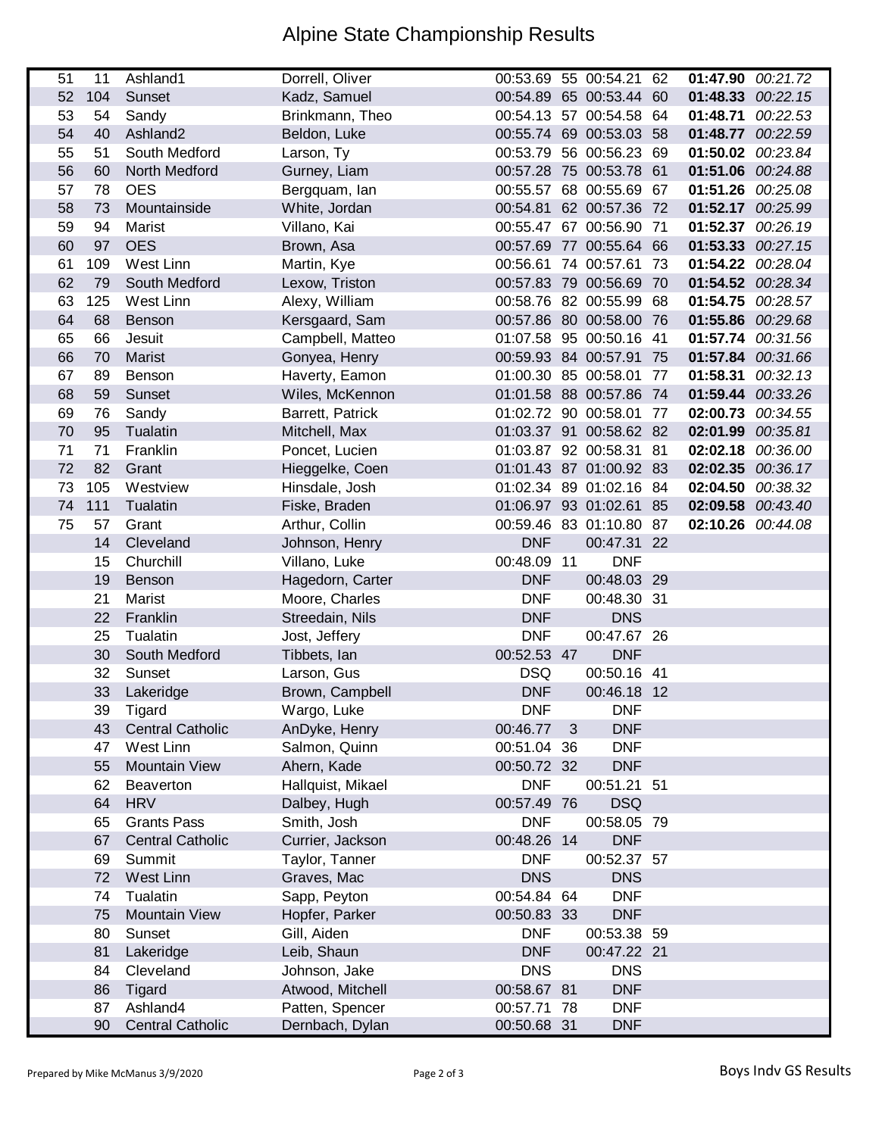## Alpine State Championship Results

| 51 | 11  | Ashland1                | Dorrell, Oliver   |             |              | 00:53.69 55 00:54.21 62 | 01:47.90 00:21.72 |          |
|----|-----|-------------------------|-------------------|-------------|--------------|-------------------------|-------------------|----------|
| 52 | 104 | Sunset                  | Kadz, Samuel      |             |              | 00:54.89 65 00:53.44 60 | 01:48.33 00:22.15 |          |
| 53 | 54  | Sandy                   | Brinkmann, Theo   |             |              | 00:54.13 57 00:54.58 64 | 01:48.71 00:22.53 |          |
| 54 | 40  | Ashland <sub>2</sub>    | Beldon, Luke      |             |              | 00:55.74 69 00:53.03 58 | 01:48.77 00:22.59 |          |
| 55 | 51  | South Medford           | Larson, Ty        |             |              | 00:53.79 56 00:56.23 69 | 01:50.02 00:23.84 |          |
| 56 | 60  | North Medford           | Gurney, Liam      |             |              | 00:57.28 75 00:53.78 61 | 01:51.06 00:24.88 |          |
| 57 | 78  | <b>OES</b>              | Bergquam, lan     |             |              | 00:55.57 68 00:55.69 67 | 01:51.26 00:25.08 |          |
| 58 | 73  | Mountainside            | White, Jordan     |             |              | 00:54.81 62 00:57.36 72 | 01:52.17 00:25.99 |          |
| 59 | 94  | Marist                  | Villano, Kai      |             |              | 00:55.47 67 00:56.90 71 | 01:52.37 00:26.19 |          |
| 60 | 97  | <b>OES</b>              | Brown, Asa        |             |              | 00:57.69 77 00:55.64 66 | 01:53.33 00:27.15 |          |
| 61 | 109 | West Linn               | Martin, Kye       |             |              | 00:56.61 74 00:57.61 73 | 01:54.22 00:28.04 |          |
| 62 | 79  | South Medford           | Lexow, Triston    |             |              | 00:57.83 79 00:56.69 70 | 01:54.52 00:28.34 |          |
| 63 | 125 | West Linn               | Alexy, William    |             |              | 00:58.76 82 00:55.99 68 | 01:54.75 00:28.57 |          |
| 64 | 68  | Benson                  | Kersgaard, Sam    |             |              | 00:57.86 80 00:58.00 76 | 01:55.86 00:29.68 |          |
| 65 | 66  | Jesuit                  | Campbell, Matteo  |             |              | 01:07.58 95 00:50.16 41 | 01:57.74 00:31.56 |          |
| 66 | 70  | Marist                  | Gonyea, Henry     |             |              | 00:59.93 84 00:57.91 75 | 01:57.84 00:31.66 |          |
| 67 | 89  | Benson                  | Haverty, Eamon    |             |              | 01:00.30 85 00:58.01 77 | 01:58.31 00:32.13 |          |
| 68 | 59  | Sunset                  | Wiles, McKennon   |             |              | 01:01.58 88 00:57.86 74 | 01:59.44          | 00:33.26 |
| 69 | 76  | Sandy                   | Barrett, Patrick  |             |              | 01:02.72 90 00:58.01 77 | 02:00.73          | 00:34.55 |
| 70 | 95  | Tualatin                | Mitchell, Max     |             |              | 01:03.37 91 00:58.62 82 | 02:01.99          | 00:35.81 |
| 71 | 71  | Franklin                | Poncet, Lucien    |             |              | 01:03.87 92 00:58.31 81 | 02:02.18 00:36.00 |          |
| 72 | 82  | Grant                   | Hieggelke, Coen   |             |              | 01:01.43 87 01:00.92 83 | 02:02.35 00:36.17 |          |
| 73 | 105 | Westview                | Hinsdale, Josh    |             |              | 01:02.34 89 01:02.16 84 | 02:04.50 00:38.32 |          |
| 74 | 111 | Tualatin                | Fiske, Braden     |             |              | 01:06.97 93 01:02.61 85 | 02:09.58 00:43.40 |          |
| 75 | 57  | Grant                   | Arthur, Collin    |             |              | 00:59.46 83 01:10.80 87 | 02:10.26 00:44.08 |          |
|    | 14  | Cleveland               | Johnson, Henry    | <b>DNF</b>  |              | 00:47.31 22             |                   |          |
|    | 15  | Churchill               | Villano, Luke     | 00:48.09 11 |              | <b>DNF</b>              |                   |          |
|    | 19  | Benson                  | Hagedorn, Carter  | <b>DNF</b>  |              | 00:48.03 29             |                   |          |
|    | 21  | Marist                  | Moore, Charles    | <b>DNF</b>  |              | 00:48.30 31             |                   |          |
|    | 22  | Franklin                | Streedain, Nils   | <b>DNF</b>  |              | <b>DNS</b>              |                   |          |
|    | 25  | Tualatin                | Jost, Jeffery     | <b>DNF</b>  |              | 00:47.67 26             |                   |          |
|    | 30  | South Medford           | Tibbets, Ian      | 00:52.53 47 |              | <b>DNF</b>              |                   |          |
|    | 32  | Sunset                  | Larson, Gus       | <b>DSQ</b>  |              | 00:50.16 41             |                   |          |
|    | 33  | Lakeridge               | Brown, Campbell   | <b>DNF</b>  |              | 00:46.18 12             |                   |          |
|    | 39  | Tigard                  | Wargo, Luke       | <b>DNF</b>  |              | <b>DNF</b>              |                   |          |
|    | 43  | <b>Central Catholic</b> | AnDyke, Henry     | 00:46.77    | $\mathbf{3}$ | <b>DNF</b>              |                   |          |
|    | 47  | West Linn               | Salmon, Quinn     | 00:51.04 36 |              | <b>DNF</b>              |                   |          |
|    | 55  | <b>Mountain View</b>    | Ahern, Kade       | 00:50.72 32 |              | <b>DNF</b>              |                   |          |
|    | 62  | Beaverton               | Hallquist, Mikael | <b>DNF</b>  |              | 00:51.21 51             |                   |          |
|    | 64  | <b>HRV</b>              | Dalbey, Hugh      | 00:57.49 76 |              | <b>DSQ</b>              |                   |          |
|    | 65  | <b>Grants Pass</b>      | Smith, Josh       | <b>DNF</b>  |              | 00:58.05 79             |                   |          |
|    | 67  | <b>Central Catholic</b> | Currier, Jackson  | 00:48.26 14 |              | <b>DNF</b>              |                   |          |
|    | 69  | Summit                  | Taylor, Tanner    | <b>DNF</b>  |              | 00:52.37 57             |                   |          |
|    | 72  | West Linn               | Graves, Mac       | <b>DNS</b>  |              | <b>DNS</b>              |                   |          |
|    | 74  | Tualatin                | Sapp, Peyton      | 00:54.84 64 |              | <b>DNF</b>              |                   |          |
|    | 75  | <b>Mountain View</b>    | Hopfer, Parker    | 00:50.83 33 |              | <b>DNF</b>              |                   |          |
|    | 80  | Sunset                  | Gill, Aiden       | <b>DNF</b>  |              | 00:53.38 59             |                   |          |
|    | 81  | Lakeridge               | Leib, Shaun       | <b>DNF</b>  |              | 00:47.22 21             |                   |          |
|    | 84  | Cleveland               | Johnson, Jake     | <b>DNS</b>  |              | <b>DNS</b>              |                   |          |
|    | 86  | <b>Tigard</b>           | Atwood, Mitchell  | 00:58.67 81 |              | <b>DNF</b>              |                   |          |
|    | 87  | Ashland4                | Patten, Spencer   | 00:57.71 78 |              | <b>DNF</b>              |                   |          |
|    | 90  | <b>Central Catholic</b> | Dernbach, Dylan   | 00:50.68 31 |              | <b>DNF</b>              |                   |          |